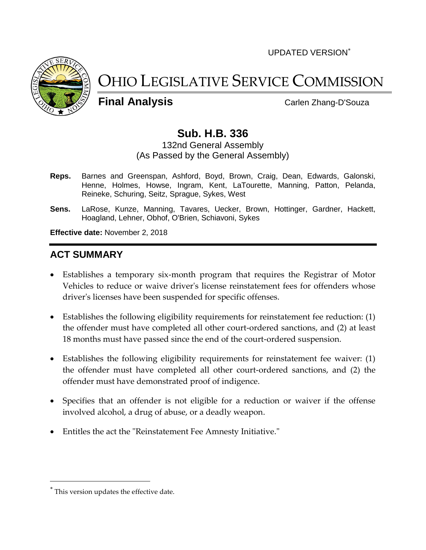UPDATED VERSION



# OHIO LEGISLATIVE SERVICE COMMISSION

**Final Analysis** Carlen Zhang-D'Souza

# **Sub. H.B. 336**

132nd General Assembly (As Passed by the General Assembly)

- **Reps.** Barnes and Greenspan, Ashford, Boyd, Brown, Craig, Dean, Edwards, Galonski, Henne, Holmes, Howse, Ingram, Kent, LaTourette, Manning, Patton, Pelanda, Reineke, Schuring, Seitz, Sprague, Sykes, West
- **Sens.** LaRose, Kunze, Manning, Tavares, Uecker, Brown, Hottinger, Gardner, Hackett, Hoagland, Lehner, Obhof, O'Brien, Schiavoni, Sykes

**Effective date:** November 2, 2018

## **ACT SUMMARY**

- Establishes a temporary six-month program that requires the Registrar of Motor Vehicles to reduce or waive driver's license reinstatement fees for offenders whose driver's licenses have been suspended for specific offenses.
- Establishes the following eligibility requirements for reinstatement fee reduction: (1) the offender must have completed all other court-ordered sanctions, and (2) at least 18 months must have passed since the end of the court-ordered suspension.
- Establishes the following eligibility requirements for reinstatement fee waiver: (1) the offender must have completed all other court-ordered sanctions, and (2) the offender must have demonstrated proof of indigence.
- Specifies that an offender is not eligible for a reduction or waiver if the offense involved alcohol, a drug of abuse, or a deadly weapon.
- Entitles the act the "Reinstatement Fee Amnesty Initiative."

This version updates the effective date.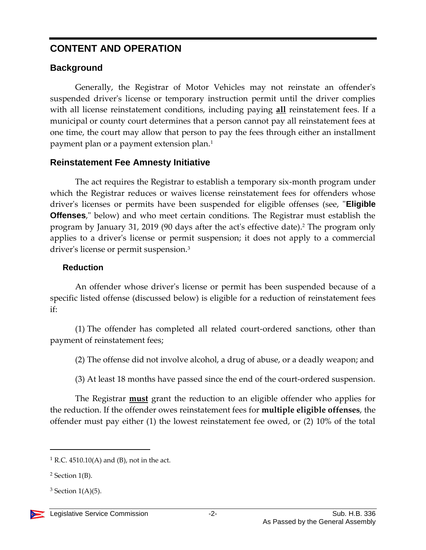## **CONTENT AND OPERATION**

## **Background**

Generally, the Registrar of Motor Vehicles may not reinstate an offender's suspended driver's license or temporary instruction permit until the driver complies with all license reinstatement conditions, including paying **all** reinstatement fees. If a municipal or county court determines that a person cannot pay all reinstatement fees at one time, the court may allow that person to pay the fees through either an installment payment plan or a payment extension plan.<sup>1</sup>

## **Reinstatement Fee Amnesty Initiative**

The act requires the Registrar to establish a temporary six-month program under which the Registrar reduces or waives license reinstatement fees for offenders whose driver's licenses or permits have been suspended for eligible offenses (see, "**Eligible Offenses**," below) and who meet certain conditions. The Registrar must establish the program by January 31, 2019 (90 days after the act's effective date). <sup>2</sup> The program only applies to a driver's license or permit suspension; it does not apply to a commercial driver's license or permit suspension.<sup>3</sup>

#### **Reduction**

An offender whose driver's license or permit has been suspended because of a specific listed offense (discussed below) is eligible for a reduction of reinstatement fees if:

(1) The offender has completed all related court-ordered sanctions, other than payment of reinstatement fees;

(2) The offense did not involve alcohol, a drug of abuse, or a deadly weapon; and

(3) At least 18 months have passed since the end of the court-ordered suspension.

The Registrar **must** grant the reduction to an eligible offender who applies for the reduction. If the offender owes reinstatement fees for **multiple eligible offenses**, the offender must pay either (1) the lowest reinstatement fee owed, or (2) 10% of the total

 $<sup>1</sup>$  R.C. 4510.10(A) and (B), not in the act.</sup>

 $2$  Section 1(B).

 $3$  Section 1(A)(5).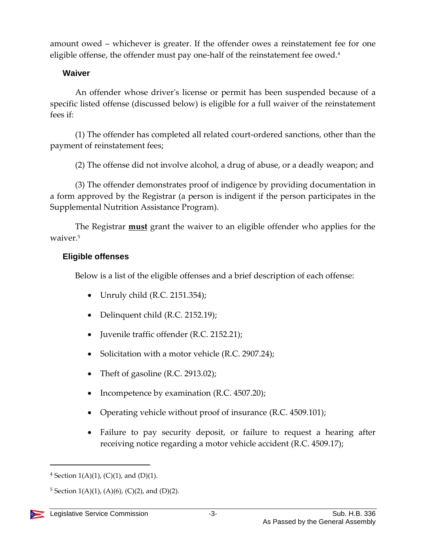amount owed – whichever is greater. If the offender owes a reinstatement fee for one eligible offense, the offender must pay one-half of the reinstatement fee owed.<sup>4</sup>

#### **Waiver**

An offender whose driver's license or permit has been suspended because of a specific listed offense (discussed below) is eligible for a full waiver of the reinstatement fees if:

(1) The offender has completed all related court-ordered sanctions, other than the payment of reinstatement fees;

(2) The offense did not involve alcohol, a drug of abuse, or a deadly weapon; and

(3) The offender demonstrates proof of indigence by providing documentation in a form approved by the Registrar (a person is indigent if the person participates in the Supplemental Nutrition Assistance Program).

The Registrar **must** grant the waiver to an eligible offender who applies for the waiver.<sup>5</sup>

#### **Eligible offenses**

Below is a list of the eligible offenses and a brief description of each offense:

- Unruly child (R.C. 2151.354);
- Delinquent child (R.C. 2152.19);
- Juvenile traffic offender (R.C. 2152.21);
- Solicitation with a motor vehicle  $(R.C. 2907.24)$ ;
- Theft of gasoline (R.C. 2913.02);
- Incompetence by examination  $(R.C. 4507.20)$ ;
- Operating vehicle without proof of insurance (R.C. 4509.101);
- Failure to pay security deposit, or failure to request a hearing after receiving notice regarding a motor vehicle accident (R.C. 4509.17);

<sup>&</sup>lt;sup>4</sup> Section 1(A)(1), (C)(1), and (D)(1).

<sup>&</sup>lt;sup>5</sup> Section 1(A)(1), (A)(6), (C)(2), and (D)(2).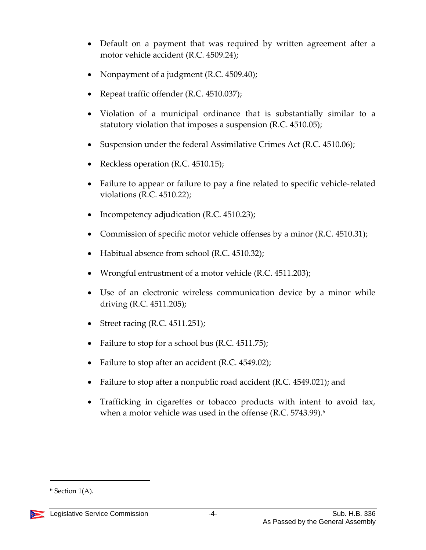- Default on a payment that was required by written agreement after a motor vehicle accident (R.C. 4509.24);
- Nonpayment of a judgment (R.C. 4509.40);
- Repeat traffic offender (R.C. 4510.037);
- Violation of a municipal ordinance that is substantially similar to a statutory violation that imposes a suspension (R.C. 4510.05);
- Suspension under the federal Assimilative Crimes Act (R.C. 4510.06);
- Reckless operation (R.C. 4510.15);
- Failure to appear or failure to pay a fine related to specific vehicle-related violations (R.C. 4510.22);
- Incompetency adjudication (R.C. 4510.23);
- Commission of specific motor vehicle offenses by a minor (R.C. 4510.31);
- Habitual absence from school (R.C. 4510.32);
- Wrongful entrustment of a motor vehicle (R.C. 4511.203);
- Use of an electronic wireless communication device by a minor while driving (R.C. 4511.205);
- $\bullet$  Street racing (R.C. 4511.251);
- Failure to stop for a school bus (R.C. 4511.75);
- Failure to stop after an accident (R.C. 4549.02);
- Failure to stop after a nonpublic road accident (R.C. 4549.021); and
- Trafficking in cigarettes or tobacco products with intent to avoid tax, when a motor vehicle was used in the offense (R.C. 5743.99).<sup>6</sup>

 $6$  Section 1(A).